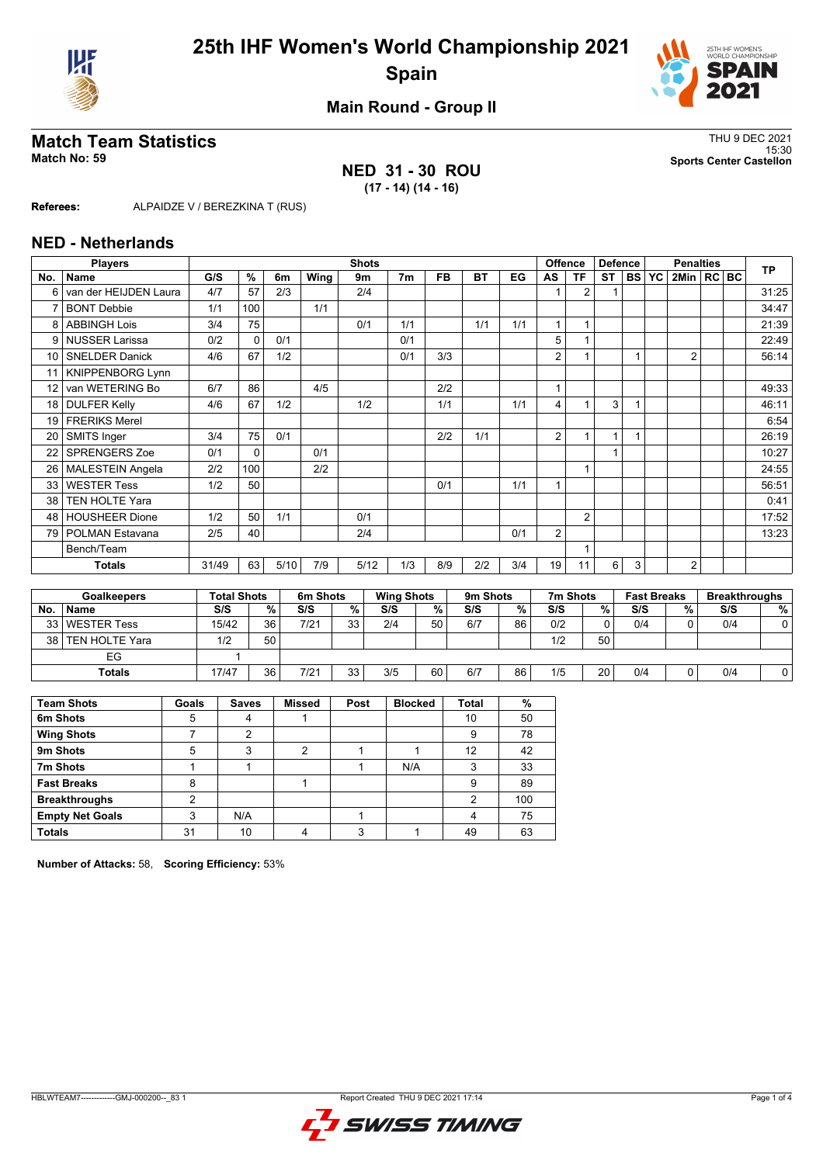



**Main Round - Group II**

## **Match Team Statistics** Thus a strategy of the strategy of the strategy of the strategy of the strategy of the strategy of the strategy of the strategy of the strategy of the strategy of the strategy of the strategy of the

## **NED 31 - 30 ROU (17 - 14) (14 - 16)**

15:30 **Match No: 59 Sports Center Castellon**

**Referees:** ALPAIDZE V / BEREZKINA T (RUS)

#### **NED - Netherlands**

|                 | <b>Players</b>          |       |                    |      |          | <b>Shots</b> |                   |           |          |     |                | <b>Offence</b> | <b>Defence</b> |           |                    | <b>Penalties</b> |  | <b>TP</b>            |
|-----------------|-------------------------|-------|--------------------|------|----------|--------------|-------------------|-----------|----------|-----|----------------|----------------|----------------|-----------|--------------------|------------------|--|----------------------|
| No.             | <b>Name</b>             | G/S   | %                  | 6m   | Wing     | 9m           | 7 <sub>m</sub>    | <b>FB</b> | BT       | EG  | AS             | <b>TF</b>      | <b>ST</b>      | <b>BS</b> | <b>YC</b>          | 2Min   RC   BC   |  |                      |
| 6               | van der HEIJDEN Laura   | 4/7   | 57                 | 2/3  |          | 2/4          |                   |           |          |     |                | $\overline{2}$ |                |           |                    |                  |  | 31:25                |
|                 | <b>BONT Debbie</b>      | 1/1   | 100                |      | 1/1      |              |                   |           |          |     |                |                |                |           |                    |                  |  | 34:47                |
| 8               | <b>ABBINGH Lois</b>     | 3/4   | 75                 |      |          | 0/1          | 1/1               |           | 1/1      | 1/1 |                |                |                |           |                    |                  |  | 21:39                |
| 9               | <b>NUSSER Larissa</b>   | 0/2   | $\Omega$           | 0/1  |          |              | 0/1               |           |          |     | 5              |                |                |           |                    |                  |  | 22:49                |
| 10 <sup>1</sup> | <b>SNELDER Danick</b>   | 4/6   | 67                 | 1/2  |          |              | 0/1               | 3/3       |          |     | 2              |                |                |           |                    | $\overline{2}$   |  | 56:14                |
|                 | <b>KNIPPENBORG Lynn</b> |       |                    |      |          |              |                   |           |          |     |                |                |                |           |                    |                  |  |                      |
| 12              | van WETERING Bo         | 6/7   | 86                 |      | 4/5      |              |                   | 2/2       |          |     | 1              |                |                |           |                    |                  |  | 49:33                |
| 18              | <b>DULFER Kelly</b>     | 4/6   | 67                 | 1/2  |          | 1/2          |                   | 1/1       |          | 1/1 | 4              |                | 3              |           |                    |                  |  | 46:11                |
| 19              | <b>FRERIKS Merel</b>    |       |                    |      |          |              |                   |           |          |     |                |                |                |           |                    |                  |  | 6:54                 |
| 20              | SMITS Inger             | 3/4   | 75                 | 0/1  |          |              |                   | 2/2       | 1/1      |     | 2              |                | 1              |           |                    |                  |  | 26:19                |
| 22              | SPRENGERS Zoe           | 0/1   | $\Omega$           |      | 0/1      |              |                   |           |          |     |                |                |                |           |                    |                  |  | 10:27                |
| 26              | <b>MALESTEIN Angela</b> | 2/2   | 100                |      | 2/2      |              |                   |           |          |     |                |                |                |           |                    |                  |  | 24:55                |
| 33              | <b>WESTER Tess</b>      | 1/2   | 50                 |      |          |              |                   | 0/1       |          | 1/1 | $\overline{A}$ |                |                |           |                    |                  |  | 56:51                |
| 38              | <b>TEN HOLTE Yara</b>   |       |                    |      |          |              |                   |           |          |     |                |                |                |           |                    |                  |  | 0:41                 |
| 48              | <b>HOUSHEER Dione</b>   | 1/2   | 50                 | 1/1  |          | 0/1          |                   |           |          |     |                | $\overline{2}$ |                |           |                    |                  |  | 17:52                |
| 79              | <b>POLMAN Estavana</b>  | 2/5   | 40                 |      |          | 2/4          |                   |           |          | 0/1 | 2              |                |                |           |                    |                  |  | 13:23                |
|                 | Bench/Team              |       |                    |      |          |              |                   |           |          |     |                |                |                |           |                    |                  |  |                      |
|                 | <b>Totals</b>           | 31/49 | 63                 | 5/10 | 7/9      | 5/12         | 1/3               | 8/9       | 2/2      | 3/4 | 19             | 11             | 6              | 3         |                    | $\overline{2}$   |  |                      |
|                 |                         |       |                    |      |          |              |                   |           |          |     |                |                |                |           |                    |                  |  |                      |
|                 | <b>Goalkeepers</b>      |       | <b>Total Shots</b> |      | 6m Shots |              | <b>Wing Shots</b> |           | 9m Shots |     |                | 7m Shots       |                |           | <b>Fast Breaks</b> |                  |  | <b>Breakthroughs</b> |

|     | Goalkeepers         | Total Shots |                 | <b>6m Shots</b> |    | <b>Wing Shots</b> |    | <b>9m Shots</b> |    | <i>I'</i> m Shots |    | <b>Fast Breaks</b> |   | <b>Breakthroughs</b> |   |
|-----|---------------------|-------------|-----------------|-----------------|----|-------------------|----|-----------------|----|-------------------|----|--------------------|---|----------------------|---|
| No. | <b>Name</b>         | S/S         | %               | S/S             | %  | S/S               | %  | S/S             | %  | S/S               | %  | S/S                | % | S/S                  | % |
|     | 33 WESTER Tess      | 15/42       | 36 <sub>1</sub> | 7/21            | 33 | 2/4               | 50 | 6/7             | 86 | 0/2               | ∩  | 0/4                |   | 0/4                  |   |
|     | 38   TEN HOLTE Yara | 1/2         | 50              |                 |    |                   |    |                 |    | 1/2               | 50 |                    |   |                      |   |
|     | EG                  |             |                 |                 |    |                   |    |                 |    |                   |    |                    |   |                      |   |
|     | Totals              | 17/47       | 36              | 7/21            | 33 | 3/5               | 60 | 6/7             | 86 | 1/5               | 20 | 0/4                |   | 0/4                  |   |

| <b>Team Shots</b>      | Goals | <b>Saves</b> | <b>Missed</b> | Post | <b>Blocked</b> | Total | %   |
|------------------------|-------|--------------|---------------|------|----------------|-------|-----|
| 6m Shots               | 5     |              |               |      |                | 10    | 50  |
| <b>Wing Shots</b>      |       | 2            |               |      |                | 9     | 78  |
| 9m Shots               |       |              | າ             |      |                | 12    | 42  |
| 7m Shots               |       |              |               |      | N/A            | 3     | 33  |
| <b>Fast Breaks</b>     | 8     |              |               |      |                | 9     | 89  |
| <b>Breakthroughs</b>   | ◠     |              |               |      |                | 2     | 100 |
| <b>Empty Net Goals</b> | 3     | N/A          |               |      |                | 4     | 75  |
| <b>Totals</b>          | 31    | 10           |               | 3    |                | 49    | 63  |

**Number of Attacks:** 58, **Scoring Efficiency:** 53%

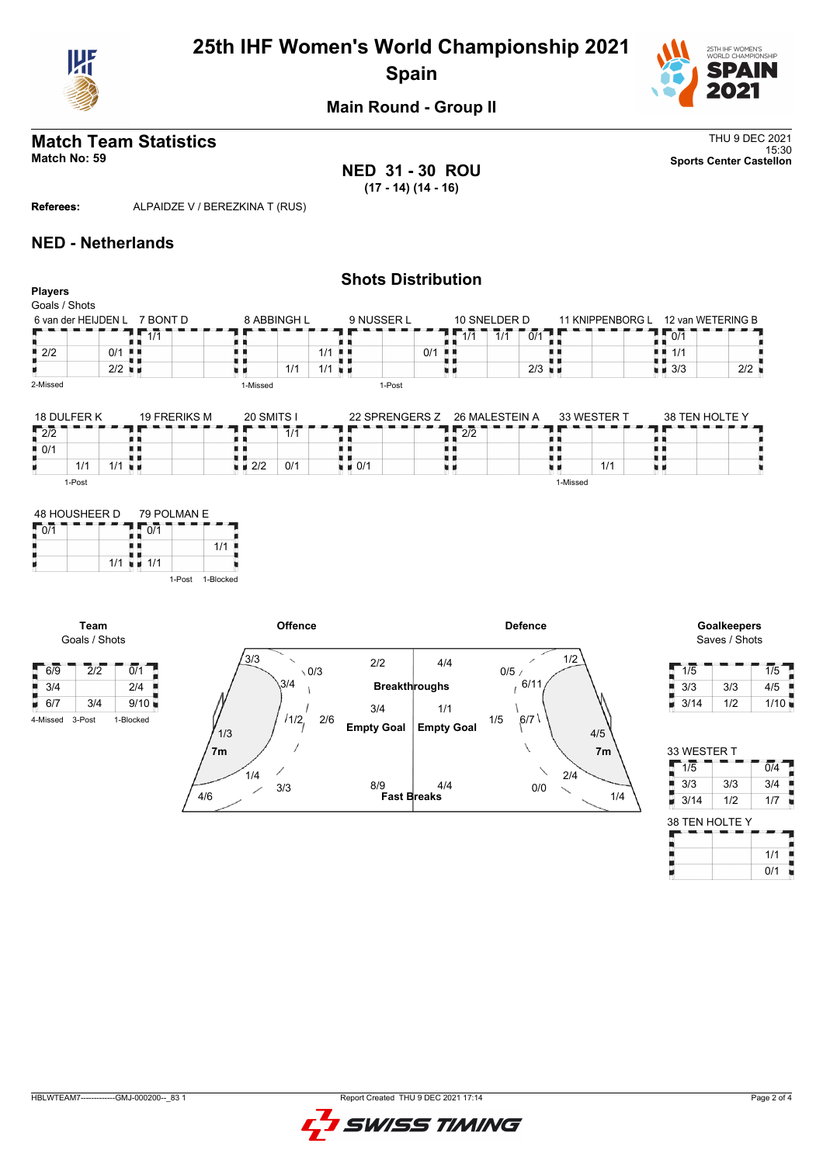

# **25th IHF Women's World Championship 2021 Spain**



**Main Round - Group II**

## **Match Team Statistics** Thu 9 DEC 2021

15:30 **Match No: 59 Sports Center Castellon NED 31 - 30 ROU (17 - 14) (14 - 16)**

**Referees:** ALPAIDZE V / BEREZKINA T (RUS)

## **NED - Netherlands**

#### **Shots Distribution Players** Goals / Shots 8 ABBINGH L  $9$  NUSSER L 10 SNELDER D<br>171 | 1/1 | 0/1 | 1/1 1/1 0/1 6 van der HEIJDEN L 7 BONT D 11 KNIPPENBORG L 12 van WETERING B T F п  $1/1$  $10/1$ 8 A R H 1/1 0/1 H 8 . .  $2/2$  0/1  $1/1$  $2/2$  $1/1$   $1/1$   $\frac{1}{2}$  $2/3$ H 原理 u i  $3/3$  2/2 2-Missed 1-Missed 1-Post 18 DULFER K 19 FRERIKS M 20 SMITS I 33 WESTER T 38 TEN HOLTE Y 22 SPRENGERS Z 26 MALESTEIN A 2/2  $\sqrt{2}/2$ a a a e п ٠e  $7/1$ ł. ł. O in in i a  $0/1$ n e n e н.  $\frac{1}{2}$  2/2 0/1 U  $\frac{1}{2}$  0/1 u  $1/1$   $1/1$ 1/1 ХX. u d 1-Post 1-Missed







| 1/5  |     | 1/5  |
|------|-----|------|
| 3/3  | 3/3 | 4/5  |
| 3/14 | 1/2 | 1/10 |

| 33 WESTER T    |     |                  |
|----------------|-----|------------------|
| $1\sqrt{5}$    |     | $\overline{0/4}$ |
| 3/3            | 3/3 | 3/4              |
| 3/14           | 1/2 | 1/7              |
|                |     |                  |
| 38 TEN HOLTE Y |     |                  |
|                |     | 1/1              |



4-Missed 3-Post 1-Blocked



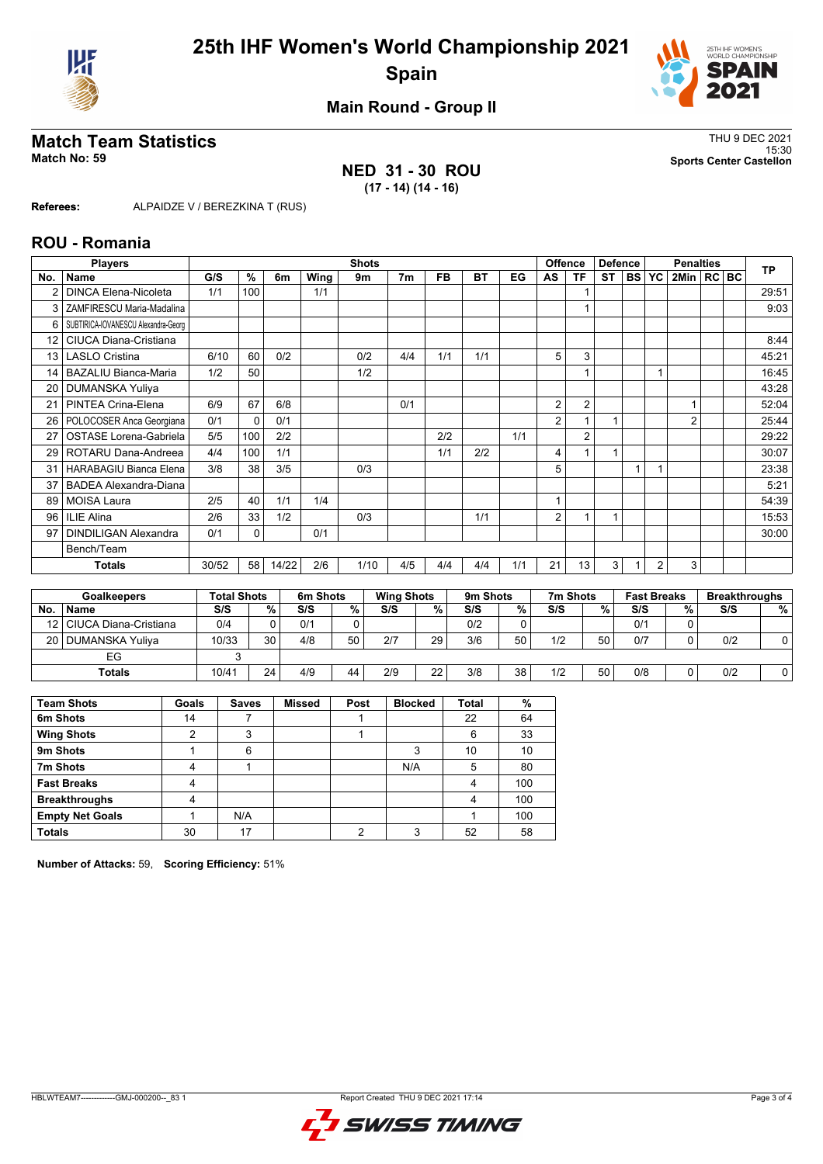



**Main Round - Group II**

## **Match Team Statistics** Thus a strategy of the strategy of the strategy of the strategy of the strategy of the strategy of the strategy of the strategy of the strategy of the strategy of the strategy of the strategy of the

**NED 31 - 30 ROU (17 - 14) (14 - 16)**

15:30 **Match No: 59 Sports Center Castellon**

**Referees:** ALPAIDZE V / BEREZKINA T (RUS)

#### **ROU - Romania**

|                 | <b>Players</b>                      |       |          |       |      | <b>Shots</b> |                |           |           |     |    | <b>Offence</b> | <b>Defence</b> |           |                | <b>Penalties</b> |  | <b>TP</b> |
|-----------------|-------------------------------------|-------|----------|-------|------|--------------|----------------|-----------|-----------|-----|----|----------------|----------------|-----------|----------------|------------------|--|-----------|
| No.             | <b>Name</b>                         | G/S   | $\%$     | 6m    | Wing | 9m           | 7 <sub>m</sub> | <b>FB</b> | <b>BT</b> | EG  | AS | <b>TF</b>      | <b>ST</b>      | <b>BS</b> | YC             | 2Min   RC   BC   |  |           |
| 2               | <b>DINCA Elena-Nicoleta</b>         | 1/1   | 100      |       | 1/1  |              |                |           |           |     |    |                |                |           |                |                  |  | 29:51     |
| 3               | ZAMFIRESCU Maria-Madalina           |       |          |       |      |              |                |           |           |     |    | 1              |                |           |                |                  |  | 9:03      |
| 6               | SUBTIRICA-IOVANESCU Alexandra-Georg |       |          |       |      |              |                |           |           |     |    |                |                |           |                |                  |  |           |
| 12 <sup>2</sup> | CIUCA Diana-Cristiana               |       |          |       |      |              |                |           |           |     |    |                |                |           |                |                  |  | 8:44      |
| 13              | <b>LASLO Cristina</b>               | 6/10  | 60       | 0/2   |      | 0/2          | 4/4            | 1/1       | 1/1       |     | 5  | 3              |                |           |                |                  |  | 45:21     |
| 14              | <b>BAZALIU Bianca-Maria</b>         | 1/2   | 50       |       |      | 1/2          |                |           |           |     |    |                |                |           | 1              |                  |  | 16:45     |
| 20              | <b>DUMANSKA Yuliya</b>              |       |          |       |      |              |                |           |           |     |    |                |                |           |                |                  |  | 43:28     |
| 21              | PINTEA Crina-Elena                  | 6/9   | 67       | 6/8   |      |              | 0/1            |           |           |     | 2  | $\overline{2}$ |                |           |                |                  |  | 52:04     |
| 26              | POLOCOSER Anca Georgiana            | 0/1   | $\Omega$ | 0/1   |      |              |                |           |           |     | 2  |                |                |           |                | $\overline{2}$   |  | 25:44     |
| 27              | <b>OSTASE Lorena-Gabriela</b>       | 5/5   | 100      | 2/2   |      |              |                | 2/2       |           | 1/1 |    | $\overline{2}$ |                |           |                |                  |  | 29:22     |
| 29              | ROTARU Dana-Andreea                 | 4/4   | 100      | 1/1   |      |              |                | 1/1       | 2/2       |     | 4  |                | 1              |           |                |                  |  | 30:07     |
| 31              | HARABAGIU Bianca Elena              | 3/8   | 38       | 3/5   |      | 0/3          |                |           |           |     | 5  |                |                |           |                |                  |  | 23:38     |
| 37              | <b>BADEA Alexandra-Diana</b>        |       |          |       |      |              |                |           |           |     |    |                |                |           |                |                  |  | 5:21      |
| 89              | <b>MOISA Laura</b>                  | 2/5   | 40       | 1/1   | 1/4  |              |                |           |           |     |    |                |                |           |                |                  |  | 54:39     |
| 96              | ILIE Alina                          | 2/6   | 33       | 1/2   |      | 0/3          |                |           | 1/1       |     | 2  |                | 1              |           |                |                  |  | 15:53     |
| 97              | <b>DINDILIGAN Alexandra</b>         | 0/1   | 0        |       | 0/1  |              |                |           |           |     |    |                |                |           |                |                  |  | 30:00     |
|                 | Bench/Team                          |       |          |       |      |              |                |           |           |     |    |                |                |           |                |                  |  |           |
|                 | <b>Totals</b>                       | 30/52 | 58       | 14/22 | 2/6  | 1/10         | 4/5            | 4/4       | 4/4       | 1/1 | 21 | 13             | 3              |           | $\overline{2}$ | 3                |  |           |
|                 |                                     |       |          |       |      |              |                |           |           |     |    |                |                |           |                |                  |  |           |

|           | <b>Goalkeepers</b>         | <b>Total Shots</b> |    | 6m Shots |    | <b>Wing Shots</b> |    | 9m Shots |    | 7m Shots |    | <b>Fast Breaks</b> |   | <b>Breakthroughs</b> |   |
|-----------|----------------------------|--------------------|----|----------|----|-------------------|----|----------|----|----------|----|--------------------|---|----------------------|---|
| <b>No</b> | <b>Name</b>                | S/S                | %. | S/S      | %  | S/S               | %  | S/S      | %  | S/S      | %  | S/S                | % | S/S                  | % |
|           | 12   CIUCA Diana-Cristiana | 0/4                |    | 0/1      |    |                   |    | 0/2      |    |          |    | 0/1                |   |                      |   |
|           | 20   DUMANSKA Yuliya       | 10/33              | 30 | 4/8      | 50 | 2/7               | 29 | 3/6      | 50 | 1/2      | 50 | 0/7                |   | 0/2                  |   |
|           | EG                         |                    |    |          |    |                   |    |          |    |          |    |                    |   |                      |   |
|           | <b>Totals</b>              | 10/41              | 24 | 4/9      | 44 | 2/9               | 22 | 3/8      | 38 | 1/2      | 50 | 0/8                |   | 0/2                  |   |

| <b>Team Shots</b>      | Goals | <b>Saves</b> | <b>Missed</b> | Post | <b>Blocked</b> | <b>Total</b> | %   |
|------------------------|-------|--------------|---------------|------|----------------|--------------|-----|
| 6m Shots               | 14    |              |               |      |                | 22           | 64  |
| <b>Wing Shots</b>      | 2     | 3            |               |      |                | 6            | 33  |
| 9m Shots               |       | 6            |               |      | 2              | 10           | 10  |
| 7m Shots               | 4     |              |               |      | N/A            | 5            | 80  |
| <b>Fast Breaks</b>     | 4     |              |               |      |                | 4            | 100 |
| <b>Breakthroughs</b>   | 4     |              |               |      |                | 4            | 100 |
| <b>Empty Net Goals</b> |       | N/A          |               |      |                |              | 100 |
| <b>Totals</b>          | 30    | 17           |               | റ    | 3              | 52           | 58  |

**Number of Attacks:** 59, **Scoring Efficiency:** 51%